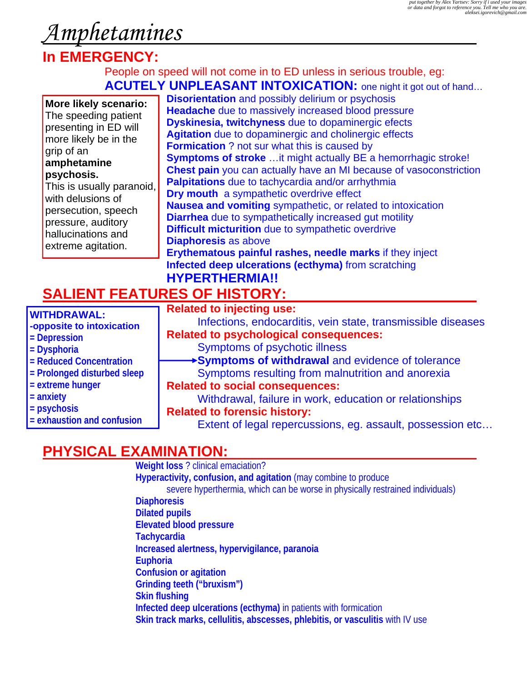# *Amphetamines*

# **In EMERGENCY:**

#### People on speed will not come in to ED unless in serious trouble, eg:  **ACUTELY UNPLEASANT INTOXICATION:** one night it got out of hand…

| More likely scenario:<br>The speeding patient<br>presenting in ED will<br>more likely be in the<br>grip of an<br>amphetamine<br>psychosis.<br>This is usually paranoid,<br>with delusions of<br>persecution, speech<br>pressure, auditory<br>hallucinations and<br>extreme agitation. | <b>Disorientation</b> and possibly delirium or psychosis<br><b>Headache</b> due to massively increased blood pressure<br>Dyskinesia, twitchyness due to dopaminergic efects<br>Agitation due to dopaminergic and cholinergic effects<br><b>Formication</b> ? not sur what this is caused by<br><b>Symptoms of stroke</b> it might actually BE a hemorrhagic stroke!<br><b>Chest pain</b> you can actually have an MI because of vasoconstriction<br>Palpitations due to tachycardia and/or arrhythmia<br>Dry mouth a sympathetic overdrive effect<br>Nausea and vomiting sympathetic, or related to intoxication<br><b>Diarrhea</b> due to sympathetically increased gut motility<br><b>Difficult micturition</b> due to sympathetic overdrive<br><b>Diaphoresis as above</b> |
|---------------------------------------------------------------------------------------------------------------------------------------------------------------------------------------------------------------------------------------------------------------------------------------|-------------------------------------------------------------------------------------------------------------------------------------------------------------------------------------------------------------------------------------------------------------------------------------------------------------------------------------------------------------------------------------------------------------------------------------------------------------------------------------------------------------------------------------------------------------------------------------------------------------------------------------------------------------------------------------------------------------------------------------------------------------------------------|
|                                                                                                                                                                                                                                                                                       | Erythematous painful rashes, needle marks if they inject<br>Infected deep ulcerations (ecthyma) from scratching<br><b>HYPERTHERMIA!!</b>                                                                                                                                                                                                                                                                                                                                                                                                                                                                                                                                                                                                                                      |
| <b>SALIENT FEATURES OF HISTORY:</b>                                                                                                                                                                                                                                                   |                                                                                                                                                                                                                                                                                                                                                                                                                                                                                                                                                                                                                                                                                                                                                                               |
| <b>WITHDRAWAL:</b><br>-opposite to intoxication<br>= Depression<br>= Dysphoria                                                                                                                                                                                                        | <b>Related to injecting use:</b><br>Infections, endocarditis, vein state, transmissible diseases<br><b>Related to psychological consequences:</b><br>Symptoms of psychotic illness                                                                                                                                                                                                                                                                                                                                                                                                                                                                                                                                                                                            |
| = Reduced Concentration                                                                                                                                                                                                                                                               | Symptoms of withdrawal and evidence of tolerance                                                                                                                                                                                                                                                                                                                                                                                                                                                                                                                                                                                                                                                                                                                              |

- **= Prolonged disturbed sleep**
- **= extreme hunger**
- **= anxiety**
- **= psychosis**
- **= exhaustion and confusion**

 Symptoms resulting from malnutrition and anorexia  **Related to social consequences:** Withdrawal, failure in work, education or relationships  **Related to forensic history:** 

- - Extent of legal repercussions, eg. assault, possession etc...

### **PHYSICAL EXAMINATION:**

**Weight loss** ? clinical emaciation? **Hyperactivity, confusion, and agitation** (may combine to produce severe hyperthermia, which can be worse in physically restrained individuals) **Diaphoresis Dilated pupils Elevated blood pressure Tachycardia Increased alertness, hypervigilance, paranoia Euphoria Confusion or agitation Grinding teeth ("bruxism") Skin flushing Infected deep ulcerations (ecthyma)** in patients with formication **Skin track marks, cellulitis, abscesses, phlebitis, or vasculitis** with IV use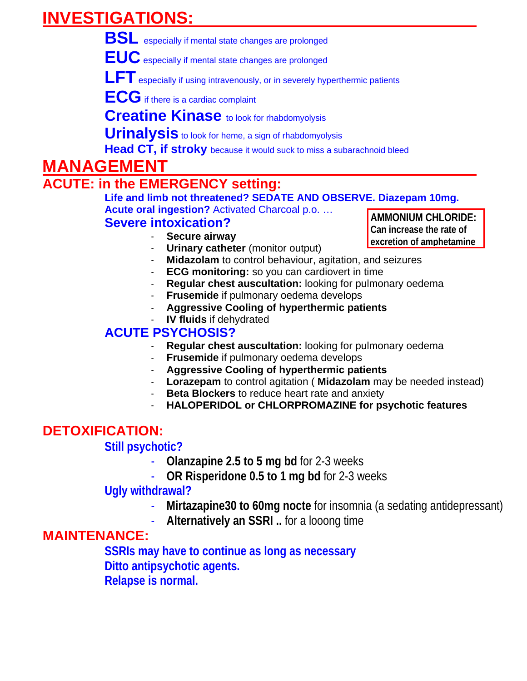# **INVESTIGATIONS:**

 **BSL** especially if mental state changes are prolonged

 **EUC** especially if mental state changes are prolonged

LFT especially if using intravenously, or in severely hyperthermic patients

 **ECG** if there is a cardiac complaint

**Creatine Kinase** to look for rhabdomyolysis

**Urinalysis** to look for heme, a sign of rhabdomyolysis

**Head CT, if stroky** because it would suck to miss a subarachnoid bleed

## **MANAGEMENT**

# **ACUTE: in the EMERGENCY setting:**

 **Life and limb not threatened? SEDATE AND OBSERVE. Diazepam 10mg.** 

 **Acute oral ingestion?** Activated Charcoal p.o. … **AMMONIUM CHLORIDE:** 

#### **Severe intoxication?**

- Secure airway
- **Urinary catheter** (monitor output)
- Midazolam to control behaviour, agitation, and seizures
- **ECG monitoring:** so you can cardiovert in time
- **Regular chest auscultation:** looking for pulmonary oedema
- **Frusemide** if pulmonary oedema develops
- **Aggressive Cooling of hyperthermic patients** 
	- **IV fluids** if dehydrated

### **ACUTE PSYCHOSIS?**

- **Regular chest auscultation:** looking for pulmonary oedema
- **Frusemide** if pulmonary oedema develops
- **Aggressive Cooling of hyperthermic patients**
- **Lorazepam** to control agitation ( **Midazolam** may be needed instead)
- **Beta Blockers** to reduce heart rate and anxiety
- **HALOPERIDOL or CHLORPROMAZINE for psychotic features**

## **DETOXIFICATION:**

#### **Still psychotic?**

- **Olanzapine 2.5 to 5 mg bd** for 2-3 weeks
- **OR Risperidone 0.5 to 1 mg bd** for 2-3 weeks

#### **Ugly withdrawal?**

- **Mirtazapine30 to 60mg nocte** for insomnia (a sedating antidepressant)
- **Alternatively an SSRI ..** for a looong time

### **MAINTENANCE:**

**SSRIs may have to continue as long as necessary Ditto antipsychotic agents. Relapse is normal.** 

**Can increase the rate of excretion of amphetamine**